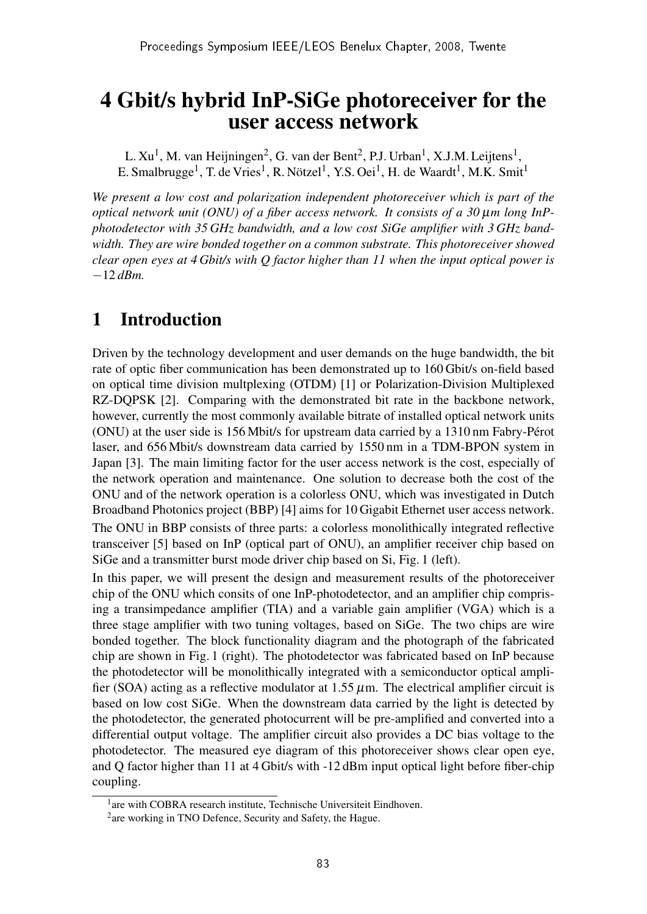# 4 Gbit/s hybrid InP-SiGe photoreceiver for the user access network

L.  $Xu^1$ , M. van Heijningen<sup>2</sup>, G. van der Bent<sup>2</sup>, P.J. Urban<sup>1</sup>, X.J.M. Leijtens<sup>1</sup>, E. Smalbrugge $^1$ , T. de Vries $^1$ , R. Nötzel $^1$ , Y.S. Oei $^1$ , H. de Waardt $^1$ , M.K. Smit $^1$ 

*We present a low cost and polarization independent photoreceiver which is part of the optical network unit (ONU) of a fiber access network. It consists of a 30*  $\mu$ *m long InPphotodetector with 35 GHz bandwidth, and a low cost SiGe amplifier with 3 GHz bandwidth. They are wire bonded together on a common substrate. This photoreceiver showed clear open eyes at 4 Gbit/s with Q factor higher than 11 when the input optical power is* −12 *dBm.*

# 1 Introduction

Driven by the technology development and user demands on the huge bandwidth, the bit rate of optic fiber communication has been demonstrated up to 160 Gbit/s on-field based on optical time division multplexing (OTDM) [1] or Polarization-Division Multiplexed RZ-DOPSK [2]. Comparing with the demonstrated bit rate in the backbone network, however, currently the most commonly available bitrate of installed optical network units (ONU) at the user side is 156 Mbit/s for upstream data carried by a 1310 nm Fabry-Pérot laser, and 656 Mbit/s downstream data carried by 1550 nm in a TDM-BPON system in Japan [3]. The main limiting factor for the user access network is the cost, especially of the network operation and maintenance. One solution to decrease both the cost of the ONU and of the network operation is a colorless ONU, which was investigated in Dutch Broadband Photonics project (BBP) [4] aims for 10 Gigabit Ethernet user access network. The ONU in BBP consists of three parts: a colorless monolithically integrated reflective transceiver [5] based on InP (optical part of ONU), an amplifier receiver chip based on SiGe and a transmitter burst mode driver chip based on Si, Fig. 1 (left).

In this paper, we will present the design and measurement results of the photoreceiver chip of the ONU which consits of one InP-photodetector, and an amplifier chip comprising a transimpedance amplifier (TIA) and a variable gain amplifier (VGA) which is a three stage amplifier with two tuning voltages, based on SiGe. The two chips are wire bonded together. The block functionality diagram and the photograph of the fabricated chip are shown in Fig. 1 (right). The photodetector was fabricated based on InP because the photodetector will be monolithically integrated with a semiconductor optical amplifier (SOA) acting as a reflective modulator at  $1.55 \mu$ m. The electrical amplifier circuit is based on low cost SiGe. When the downstream data carried by the light is detected by the photodetector, the generated photocurrent will be pre-amplified and converted into a differential output voltage. The amplifier circuit also provides a DC bias voltage to the photodetector. The measured eye diagram of this photoreceiver shows clear open eye, and Q factor higher than 11 at 4 Gbit/s with -12 dBm input optical light before fiber-chip coupling.

<sup>&</sup>lt;sup>1</sup> are with COBRA research institute, Technische Universiteit Eindhoven.

<sup>&</sup>lt;sup>2</sup> are working in TNO Defence, Security and Safety, the Hague.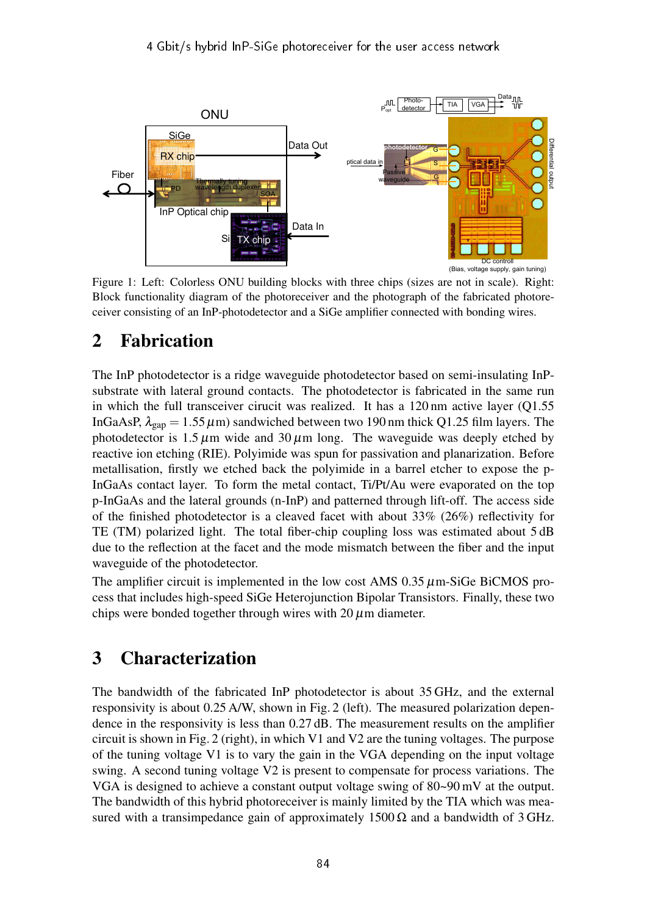

Figure 1: Left: Colorless ONU building blocks with three chips (sizes are not in scale). Right: Block functionality diagram of the photoreceiver and the photograph of the fabricated photoreceiver consisting of an InP-photodetector and a SiGe amplifier connected with bonding wires.

## 2 Fabrication

The InP photodetector is a ridge waveguide photodetector based on semi-insulating InPsubstrate with lateral ground contacts. The photodetector is fabricated in the same run in which the full transceiver cirucit was realized. It has a 120 nm active layer (Q1.55 InGaAsP,  $\lambda_{\text{gap}} = 1.55 \,\mu\text{m}$ ) sandwiched between two 190 nm thick Q1.25 film layers. The photodetector is  $1.5 \mu m$  wide and  $30 \mu m$  long. The waveguide was deeply etched by reactive ion etching (RIE). Polyimide was spun for passivation and planarization. Before metallisation, firstly we etched back the polyimide in a barrel etcher to expose the p-InGaAs contact layer. To form the metal contact, Ti/Pt/Au were evaporated on the top p-InGaAs and the lateral grounds (n-InP) and patterned through lift-off. The access side of the finished photodetector is a cleaved facet with about 33% (26%) reflectivity for TE (TM) polarized light. The total fiber-chip coupling loss was estimated about 5 dB due to the reflection at the facet and the mode mismatch between the fiber and the input waveguide of the photodetector.

The amplifier circuit is implemented in the low cost AMS  $0.35 \mu$ m-SiGe BiCMOS process that includes high-speed SiGe Heterojunction Bipolar Transistors. Finally, these two chips were bonded together through wires with  $20 \mu m$  diameter.

## 3 Characterization

The bandwidth of the fabricated InP photodetector is about 35 GHz, and the external responsivity is about 0.25 A/W, shown in Fig. 2 (left). The measured polarization dependence in the responsivity is less than 0.27 dB. The measurement results on the amplifier circuit is shown in Fig. 2 (right), in which V1 and V2 are the tuning voltages. The purpose of the tuning voltage V1 is to vary the gain in the VGA depending on the input voltage swing. A second tuning voltage V2 is present to compensate for process variations. The VGA is designed to achieve a constant output voltage swing of 80~90 mV at the output. The bandwidth of this hybrid photoreceiver is mainly limited by the TIA which was measured with a transimpedance gain of approximately  $1500 \Omega$  and a bandwidth of 3 GHz.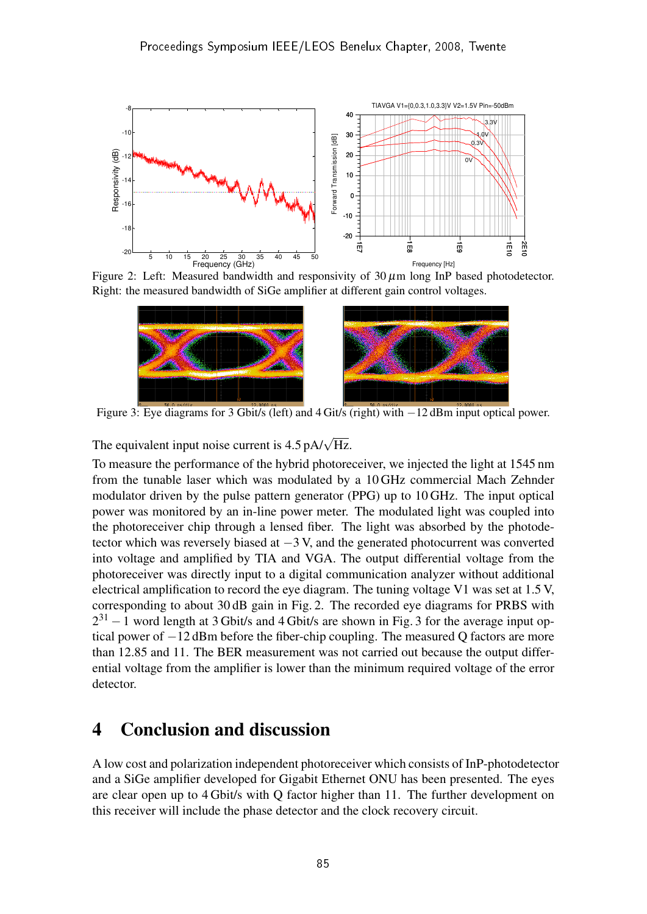

Figure 2: Left: Measured bandwidth and responsivity of  $30 \mu m$  long InP based photodetector. Right: the measured bandwidth of SiGe amplifier at different gain control voltages.



Figure 3: Eye diagrams for 3 Gbit/s (left) and 4 Git/s (right) with −12 dBm input optical power.

The equivalent input noise current is  $4.5 \text{ pA}/\sqrt{\text{Hz}}$ .

To measure the performance of the hybrid photoreceiver, we injected the light at 1545 nm from the tunable laser which was modulated by a 10 GHz commercial Mach Zehnder modulator driven by the pulse pattern generator (PPG) up to 10 GHz. The input optical power was monitored by an in-line power meter. The modulated light was coupled into the photoreceiver chip through a lensed fiber. The light was absorbed by the photodetector which was reversely biased at −3 V, and the generated photocurrent was converted into voltage and amplified by TIA and VGA. The output differential voltage from the photoreceiver was directly input to a digital communication analyzer without additional electrical amplification to record the eye diagram. The tuning voltage V1 was set at 1.5 V, corresponding to about 30 dB gain in Fig. 2. The recorded eye diagrams for PRBS with  $2^{31} - 1$  word length at 3 Gbit/s and 4 Gbit/s are shown in Fig. 3 for the average input optical power of −12 dBm before the fiber-chip coupling. The measured Q factors are more than 12.85 and 11. The BER measurement was not carried out because the output differential voltage from the amplifier is lower than the minimum required voltage of the error detector.

### 4 Conclusion and discussion

A low cost and polarization independent photoreceiver which consists of InP-photodetector and a SiGe amplifier developed for Gigabit Ethernet ONU has been presented. The eyes are clear open up to 4 Gbit/s with Q factor higher than 11. The further development on this receiver will include the phase detector and the clock recovery circuit.